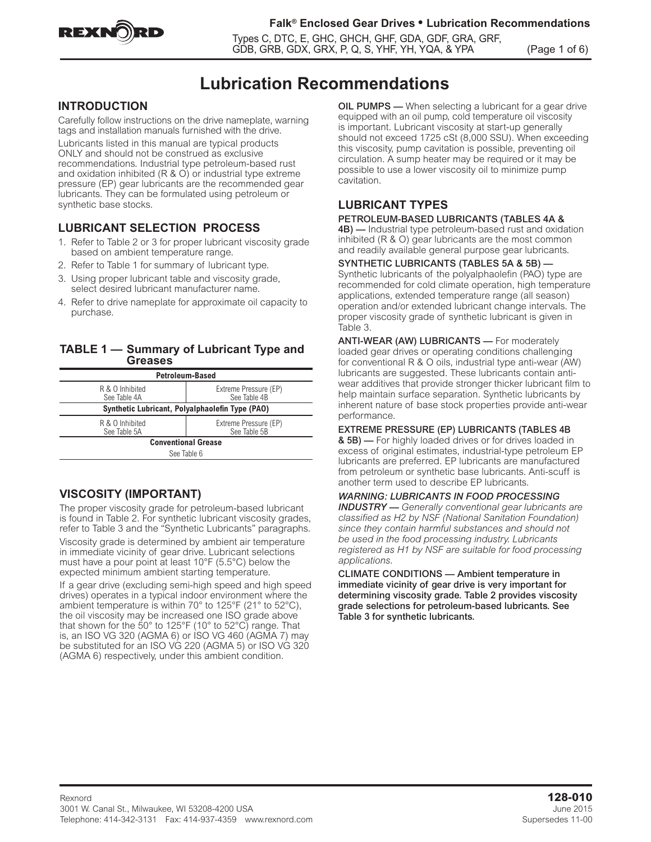

### **Falk® Enclosed Gear Drives • Lubrication Recommendations**

Types C, DTC, E, GHC, GHCH, GHF, GDA, GDF, GRA, GRF, GDB, GRB, GDX, GRX, P, Q, S, YHF, YH, YQA, & YPA (Page 1 of 6)

# **Lubrication Recommendations**

# **INTRODUCTION**

Carefully follow instructions on the drive nameplate, warning tags and installation manuals furnished with the drive.

Lubricants listed in this manual are typical products ONLY and should not be construed as exclusive recommendations. Industrial type petroleum-based rust and oxidation inhibited  $(R & O)$  or industrial type extreme pressure (EP) gear lubricants are the recommended gear lubricants. They can be formulated using petroleum or synthetic base stocks.

# **LUBRICANT SELECTION PROCESS**

- 1. Refer to Table 2 or 3 for proper lubricant viscosity grade based on ambient temperature range.
- 2. Refer to Table 1 for summary of lubricant type.
- 3. Using proper lubricant table and viscosity grade, select desired lubricant manufacturer name.
- 4. Refer to drive nameplate for approximate oil capacity to purchase.

### **TABLE 1 — Summary of Lubricant Type and Greases**

| <b>Petroleum-Based</b>                                                   |                                       |  |  |  |  |
|--------------------------------------------------------------------------|---------------------------------------|--|--|--|--|
| R & O Inhibited<br>See Table 4A                                          | Extreme Pressure (EP)<br>See Table 4B |  |  |  |  |
| Synthetic Lubricant, Polyalphaolefin Type (PAO)                          |                                       |  |  |  |  |
| Extreme Pressure (EP)<br>R & O Inhibited<br>See Table 5B<br>See Table 5A |                                       |  |  |  |  |
| <b>Conventional Grease</b>                                               |                                       |  |  |  |  |
| $C_{\alpha\alpha}$ Table $C$                                             |                                       |  |  |  |  |

#### See Table 6

# **VISCOSITY (IMPORTANT)**

The proper viscosity grade for petroleum-based lubricant is found in Table 2. For synthetic lubricant viscosity grades, refer to Table 3 and the "Synthetic Lubricants" paragraphs.

Viscosity grade is determined by ambient air temperature in immediate vicinity of gear drive. Lubricant selections must have a pour point at least 10°F (5.5°C) below the expected minimum ambient starting temperature.

If a gear drive (excluding semi-high speed and high speed drives) operates in a typical indoor environment where the ambient temperature is within 70° to 125°F (21° to 52°C), the oil viscosity may be increased one ISO grade above that shown for the 50° to 125°F (10° to 52°C) range. That is, an ISO VG 320 (AGMA 6) or ISO VG 460 (AGMA 7) may be substituted for an ISO VG 220 (AGMA 5) or ISO VG 320 (AGMA 6) respectively, under this ambient condition.

OIL PUMPS — When selecting a lubricant for a gear drive equipped with an oil pump, cold temperature oil viscosity is important. Lubricant viscosity at start-up generally should not exceed 1725 cSt (8,000 SSU). When exceeding this viscosity, pump cavitation is possible, preventing oil circulation. A sump heater may be required or it may be possible to use a lower viscosity oil to minimize pump cavitation.

# **LUBRICANT TYPES**

### PETROLEUM-BASED LUBRICANTS (TABLES 4A &

**4B)** — Industrial type petroleum-based rust and oxidation inhibited (R & O) gear lubricants are the most common and readily available general purpose gear lubricants.

### SYNTHETIC LUBRICANTS (TABLES 5A & 5B) —

Synthetic lubricants of the polyalphaolefin (PAO) type are recommended for cold climate operation, high temperature applications, extended temperature range (all season) operation and/or extended lubricant change intervals. The proper viscosity grade of synthetic lubricant is given in Table 3.

ANTI-WEAR (AW) LUBRICANTS - For moderately loaded gear drives or operating conditions challenging for conventional R & O oils, industrial type anti-wear (AW) lubricants are suggested. These lubricants contain antiwear additives that provide stronger thicker lubricant film to help maintain surface separation. Synthetic lubricants by inherent nature of base stock properties provide anti-wear performance.

#### EXTREME PRESSURE (EP) LUBRICANTS (TABLES 4B

& 5B) — For highly loaded drives or for drives loaded in excess of original estimates, industrial-type petroleum EP lubricants are preferred. EP lubricants are manufactured from petroleum or synthetic base lubricants. Anti-scuff is another term used to describe EP lubricants.

# *WARNING: LUBRICANTS IN FOOD PROCESSING*

*INDUSTRY — Generally conventional gear lubricants are classified as H2 by NSF (National Sanitation Foundation) since they contain harmful substances and should not be used in the food processing industry. Lubricants registered as H1 by NSF are suitable for food processing applications.*

CLIMATE CONDITIONS — Ambient temperature in immediate vicinity of gear drive is very important for determining viscosity grade. Table 2 provides viscosity grade selections for petroleum-based lubricants. See Table 3 for synthetic lubricants.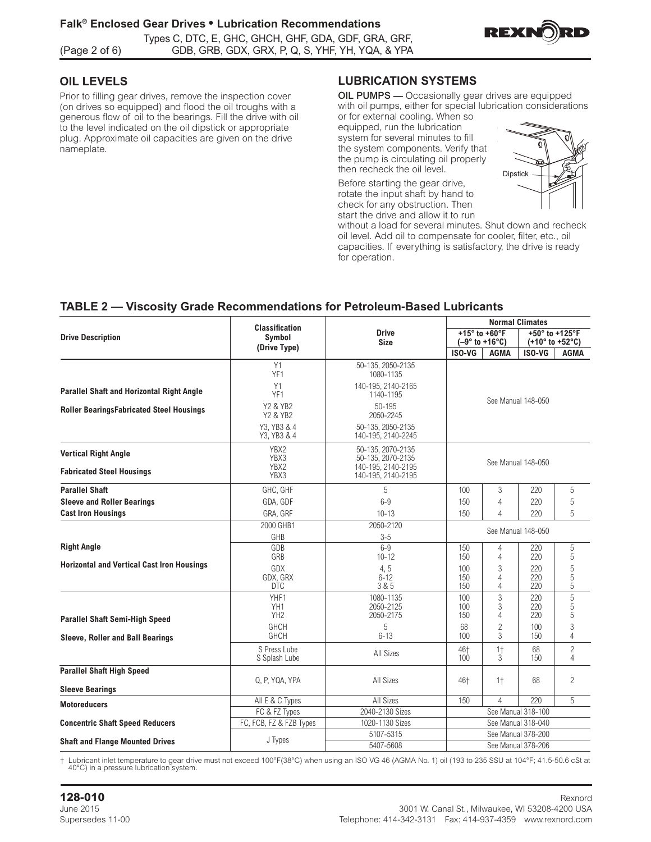

# **OIL LEVELS**

Prior to filling gear drives, remove the inspection cover (on drives so equipped) and flood the oil troughs with a generous flow of oil to the bearings. Fill the drive with oil to the level indicated on the oil dipstick or appropriate plug. Approximate oil capacities are given on the drive nameplate.

#### **LUBRICATION SYSTEMS Reviewer and distribution of all bearings and generally and generally and generally and generally and generally**

**OIL PUMPS** — Occasionally gear drives are equipped with oil number of the oriental vehicle of the oriental vehicles with oil pumps, either for special lubrication considerations or for outcrinel cooling. When se or for external cooling. When so

SPLASH LUBRICATED UNITS — Standard Type GHB, Y, YB &

equipped, run the lubrication external cooling. When so equipped, equipped, run the lubrication<br>system for several minutes to fill by stem for several minutes to fill<br>the system components. Verify that the pump is circulating oil properly then recheck the oil level. properly then recheck the oil level.

Before starting the gear drive, rotate the input shaft by hand to check for any obstruction. Then start the drive and allow it to run



without a load for several minutes. Shut down and recheck oil level. Add oil to compensate for cooler, filter, etc., oil capacities. If everything is satisfactory, the drive is ready for operation. **CAUTION**: **CAUTION**: **CONSULTER** 

# **TABLE 2 - Viscosity Grade Recommendations for Petroleum-Based Lubricants**

|                                                   |                                                 |                                          |                   | <b>Normal Climates</b>                           |                                                      |                     |  |  |
|---------------------------------------------------|-------------------------------------------------|------------------------------------------|-------------------|--------------------------------------------------|------------------------------------------------------|---------------------|--|--|
| <b>Drive Description</b>                          | <b>Classification</b><br>Symbol<br>(Drive Type) | <b>Drive</b><br><b>Size</b>              |                   | +15° to +60°F<br>$(-9° to +16°C)$                | +50° to +125°F<br>$(+10^{\circ}$ to $+52^{\circ}$ C) |                     |  |  |
|                                                   |                                                 |                                          | ISO-VG            | AGMA                                             | ISO-VG                                               | AGMA                |  |  |
|                                                   | Y1<br>YF1                                       | 50-135, 2050-2135<br>1080-1135           |                   |                                                  |                                                      |                     |  |  |
| Parallel Shaft and Horizontal Right Angle         | Y1<br>YF1                                       | 140-195, 2140-2165<br>1140-1195          |                   |                                                  |                                                      |                     |  |  |
| <b>Roller BearingsFabricated Steel Housings</b>   | Y2 & YB2<br>Y2 & YB2                            | 50-195<br>2050-2245                      |                   | See Manual 148-050                               |                                                      |                     |  |  |
|                                                   | Y3, YB3 & 4<br>Y3, YB3 & 4                      | 50-135, 2050-2135<br>140-195, 2140-2245  |                   |                                                  |                                                      |                     |  |  |
| <b>Vertical Right Angle</b>                       | YBX2<br>YBX3                                    | 50-135, 2070-2135<br>50-135, 2070-2135   |                   | See Manual 148-050                               |                                                      |                     |  |  |
| <b>Fabricated Steel Housings</b>                  | YBX2<br>YBX3                                    | 140-195, 2140-2195<br>140-195, 2140-2195 |                   |                                                  |                                                      |                     |  |  |
| <b>Parallel Shaft</b>                             | GHC, GHF                                        | 5                                        | 100               | 3                                                | 220                                                  | 5                   |  |  |
| <b>Sleeve and Roller Bearings</b>                 | GDA, GDF                                        | $6 - 9$                                  | 150               | $\overline{4}$                                   | 220                                                  | 5                   |  |  |
| <b>Cast Iron Housings</b>                         | GRA, GRF                                        | $10 - 13$                                | 150               |                                                  | 220                                                  | 5                   |  |  |
|                                                   | 2000 GHB1<br>GHB                                | 2050-2120<br>$3 - 5$                     |                   | See Manual 148-050                               |                                                      |                     |  |  |
| <b>Right Angle</b>                                | GDB                                             | $6-9$                                    | 150               | $\overline{4}$                                   | 220                                                  | 5                   |  |  |
|                                                   | GRB                                             | $10 - 12$                                | 150               | $\overline{4}$                                   | 220                                                  | 5                   |  |  |
| <b>Horizontal and Vertical Cast Iron Housings</b> | GDX<br>GDX, GRX<br><b>DTC</b>                   | 4, 5<br>$6 - 12$<br>3 & 5                | 100<br>150<br>150 | 3<br>$\overline{4}$<br>$\overline{4}$            | 220<br>220<br>220                                    | 5<br>5<br>5         |  |  |
|                                                   | YHF1<br>YH1<br>YH <sub>2</sub>                  | 1080-1135<br>2050-2125<br>2050-2175      | 100<br>100<br>150 | 3<br>$\ensuremath{\mathsf{3}}$<br>$\overline{4}$ | 220<br>220<br>220                                    | 5<br>5<br>5         |  |  |
| <b>Parallel Shaft Semi-High Speed</b>             | GHCH                                            | 5                                        | 68                | $\overline{c}$                                   | 100                                                  | 3                   |  |  |
| Sleeve, Roller and Ball Bearings                  | <b>GHCH</b>                                     | $6 - 13$                                 | 100               | 3                                                | 150                                                  | 4                   |  |  |
|                                                   | S Press Lube<br>S Splash Lube                   | All Sizes                                | 46†<br>100        | 1 <sup>†</sup><br>3                              | 68<br>150                                            | $\overline{c}$<br>4 |  |  |
| <b>Parallel Shaft High Speed</b>                  |                                                 |                                          |                   |                                                  |                                                      |                     |  |  |
| <b>Sleeve Bearings</b>                            | Q, P, YQA, YPA                                  | All Sizes                                | 46†               | $1+$                                             | 68                                                   | $\overline{2}$      |  |  |
|                                                   | All E & C Types                                 | All Sizes                                | 150               | $\overline{A}$                                   | 220                                                  | 5                   |  |  |
| <b>Motoreducers</b>                               | FC & FZ Types                                   | 2040-2130 Sizes                          |                   |                                                  | See Manual 318-100                                   |                     |  |  |
| <b>Concentric Shaft Speed Reducers</b>            | FC, FCB, FZ & FZB Types                         | 1020-1130 Sizes                          |                   |                                                  | See Manual 318-040                                   |                     |  |  |
|                                                   |                                                 | 5107-5315                                |                   |                                                  | See Manual 378-200                                   |                     |  |  |
| <b>Shaft and Flange Mounted Drives</b>            | J Types                                         | 5407-5608                                |                   |                                                  | See Manual 378-206                                   |                     |  |  |

† Lubricant inlet temperature to gear drive must not exceed 100°F(38°C) when using an ISO VG 46 (AGMA No. 1) oil (193 to 235 SSU at 104°F; 41.5-50.6 cSt at 40°C) in a pressure lubrication system.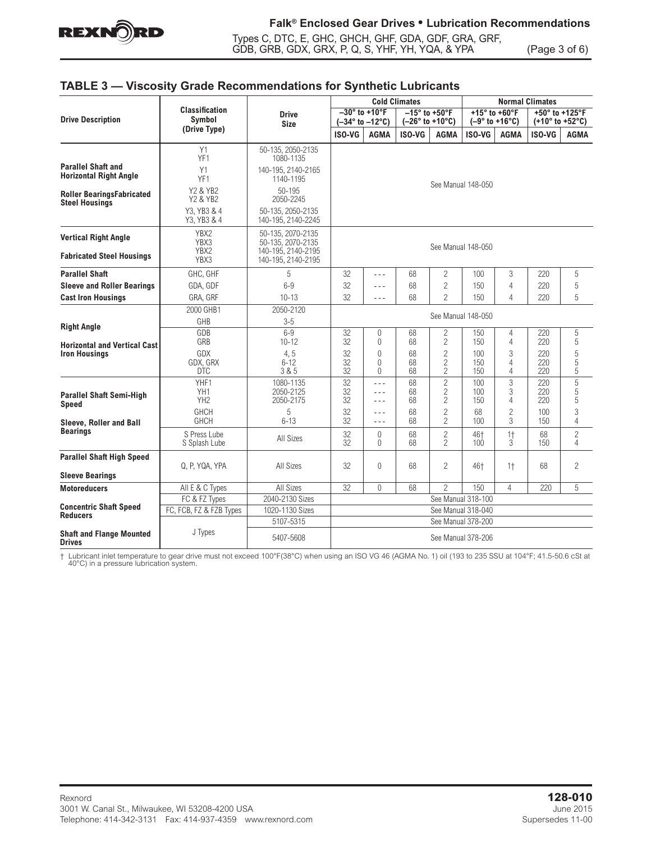

Types C, DTC, E, GHC, GHCH, GHF, GDA, GDF, GRA, GRF, GDB, GRB, GDX, GRX, P, Q, S, YHF, YH, YQA, & YPA (Page 3 of 6)

## **TABLE 3 — Viscosity Grade Recommendations for Synthetic Lubricants**

|                                                             |                                 |                                          |                                                            |                               | <b>Cold Climates</b>                      |                                                    | <b>Normal Climates</b>                   |                                  |                                                      |                     |
|-------------------------------------------------------------|---------------------------------|------------------------------------------|------------------------------------------------------------|-------------------------------|-------------------------------------------|----------------------------------------------------|------------------------------------------|----------------------------------|------------------------------------------------------|---------------------|
| <b>Drive Description</b>                                    | <b>Classification</b><br>Symbol | <b>Drive</b><br><b>Size</b>              | $-30^\circ$ to +10°F<br>$(-34^{\circ}$ to $-12^{\circ}$ C) |                               | $-15^\circ$ to +50°F<br>$(-26° to +10°C)$ |                                                    | $+15^\circ$ to +60°F<br>$(-9° to +16°C)$ |                                  | +50° to +125°F<br>$(+10^{\circ}$ to $+52^{\circ}$ C) |                     |
|                                                             | (Drive Type)                    |                                          | ISO-VG                                                     | <b>AGMA</b>                   | ISO-VG                                    | <b>AGMA</b>                                        | ISO-VG                                   | <b>AGMA</b>                      | ISO-VG                                               | <b>AGMA</b>         |
|                                                             | Y1<br>YF <sub>1</sub>           | 50-135, 2050-2135<br>1080-1135           |                                                            |                               |                                           |                                                    |                                          |                                  |                                                      |                     |
| <b>Parallel Shaft and</b><br><b>Horizontal Right Angle</b>  | Y1<br>YF <sub>1</sub>           | 140-195. 2140-2165<br>1140-1195          |                                                            |                               |                                           |                                                    |                                          |                                  |                                                      |                     |
| <b>Roller BearingsFabricated</b><br><b>Steel Housings</b>   | Y2 & YB2<br>Y2 & YB2            | 50-195<br>2050-2245                      | See Manual 148-050                                         |                               |                                           |                                                    |                                          |                                  |                                                      |                     |
|                                                             | Y3, YB3 & 4<br>Y3, YB3 & 4      | 50-135, 2050-2135<br>140-195, 2140-2245  |                                                            |                               |                                           |                                                    |                                          |                                  |                                                      |                     |
| <b>Vertical Right Angle</b>                                 | YBX2<br>YBX3                    | 50-135, 2070-2135<br>50-135, 2070-2135   |                                                            |                               |                                           |                                                    | See Manual 148-050                       |                                  |                                                      |                     |
| <b>Fabricated Steel Housings</b>                            | YBX2<br>YBX3                    | 140-195, 2140-2195<br>140-195, 2140-2195 |                                                            |                               |                                           |                                                    |                                          |                                  |                                                      |                     |
| <b>Parallel Shaft</b>                                       | GHC, GHF                        | 5                                        | 32                                                         | $- - -$                       | 68                                        | 2                                                  | 100                                      | 3                                | 220                                                  | 5                   |
| <b>Sleeve and Roller Bearings</b>                           | GDA, GDF                        | $6 - 9$                                  | 32                                                         | $- - -$                       | 68                                        | $\overline{c}$                                     | 150                                      | $\overline{4}$                   | 220                                                  | 5                   |
| <b>Cast Iron Housings</b>                                   | GRA, GRF                        | $10 - 13$                                | 32                                                         | $- - -$                       | 68                                        | $\overline{2}$                                     | 150                                      | $\Delta$                         | 220                                                  | 5                   |
|                                                             | 2000 GHB1                       | 2050-2120                                |                                                            |                               |                                           |                                                    |                                          |                                  |                                                      |                     |
|                                                             | GHB                             | $3-5$                                    | See Manual 148-050                                         |                               |                                           |                                                    |                                          |                                  |                                                      |                     |
| <b>Right Angle</b>                                          | GDB<br>GRB                      | $6 - 9$<br>$10 - 12$                     | 32<br>32                                                   | $\theta$<br>$\Omega$          | 68<br>68                                  | 2<br>2                                             | 150<br>150                               | $\overline{4}$<br>$\overline{4}$ | 220<br>220                                           | 5<br>5              |
| <b>Horizontal and Vertical Cast</b><br><b>Iron Housings</b> | <b>GDX</b><br>GDX, GRX          | 4, 5<br>$6 - 12$                         | 32<br>32                                                   | $\bigcap$<br>$\Omega$         | 68<br>68                                  | $\overline{c}$<br>$\overline{c}$                   | 100<br>150                               | 3<br>$\overline{4}$              | 220<br>220                                           | 5<br>5              |
|                                                             | <b>DTC</b>                      | 3 & 5                                    | 32                                                         | 0                             | 68                                        | 2                                                  | 150                                      | $\overline{4}$                   | 220                                                  | 5                   |
| <b>Parallel Shaft Semi-High</b><br><b>Speed</b>             | YHF1<br>YH1<br>YH <sub>2</sub>  | 1080-1135<br>2050-2125<br>2050-2175      | 32<br>32<br>32                                             | $- - -$<br>$- - -$<br>$- - -$ | 68<br>68<br>68                            | $\overline{2}$<br>$\overline{c}$<br>$\overline{c}$ | 100<br>100<br>150                        | 3<br>3<br>$\overline{4}$         | 220<br>220<br>220                                    | 5<br>5<br>5         |
| Sleeve. Roller and Ball                                     | <b>GHCH</b><br><b>GHCH</b>      | 5<br>$6 - 13$                            | 32<br>32                                                   | $- - -$<br>$- - -$            | 68<br>68                                  | $\overline{c}$<br>$\overline{c}$                   | 68<br>100                                | $\overline{c}$<br>$\mathcal{S}$  | 100<br>150                                           | 3<br>4              |
| <b>Bearings</b>                                             | S Press Lube<br>S Splash Lube   | All Sizes                                | 32<br>32                                                   | $\Omega$<br>$\Omega$          | 68<br>68                                  | $\overline{c}$<br>$\overline{2}$                   | 46+<br>100                               | 1 <sup>†</sup><br>3              | 68<br>150                                            | $\overline{c}$<br>4 |
| <b>Parallel Shaft High Speed</b>                            | Q, P, YQA, YPA                  | All Sizes                                | 32                                                         | $\Omega$                      | 68                                        | $\overline{2}$                                     | 46†                                      | $1+$                             | 68                                                   | $\overline{c}$      |
| <b>Sleeve Bearings</b>                                      |                                 |                                          |                                                            |                               |                                           |                                                    |                                          |                                  |                                                      |                     |
| <b>Motoreducers</b>                                         | All E & C Types                 | All Sizes                                | 32                                                         | $\Omega$                      | 68                                        | $\overline{2}$                                     | 150                                      | $\overline{4}$                   | 220                                                  | 5                   |
|                                                             | FC & FZ Types                   | 2040-2130 Sizes                          | See Manual 318-100                                         |                               |                                           |                                                    |                                          |                                  |                                                      |                     |
| <b>Concentric Shaft Speed</b><br><b>Reducers</b>            | FC, FCB, FZ & FZB Types         | 1020-1130 Sizes                          |                                                            |                               |                                           |                                                    | See Manual 318-040                       |                                  |                                                      |                     |
|                                                             |                                 | 5107-5315                                |                                                            |                               |                                           |                                                    | See Manual 378-200                       |                                  |                                                      |                     |
| <b>Shaft and Flange Mounted</b><br><b>Drives</b>            | J Types                         | 5407-5608                                | See Manual 378-206                                         |                               |                                           |                                                    |                                          |                                  |                                                      |                     |

† Lubricant inlet temperature to gear drive must not exceed 100°F(38°C) when using an ISO VG 46 (AGMA No. 1) oil (193 to 235 SSU at 104°F; 41.5-50.6 cSt at 40°C) in a pressure lubrication system.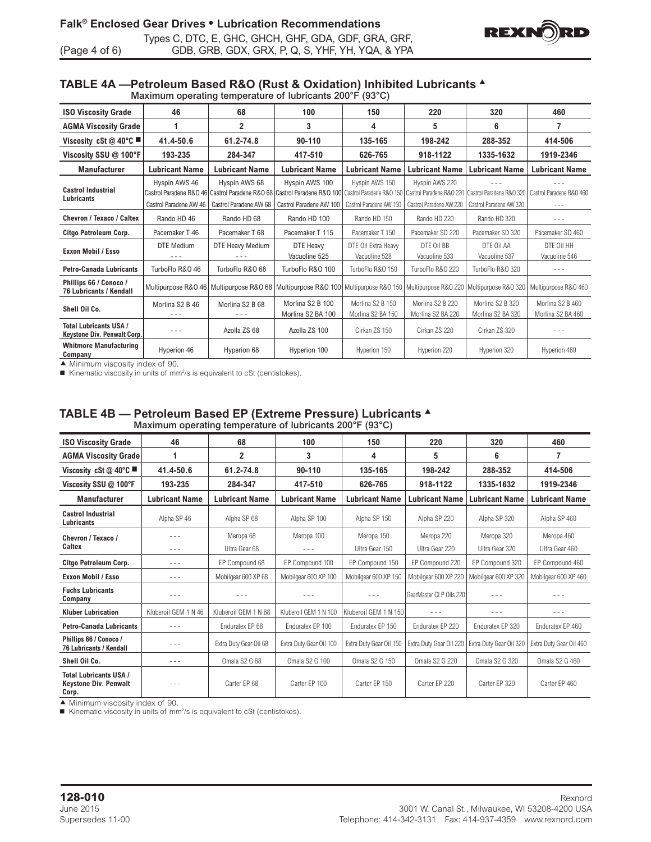

#### **TABLE 4A —Petroleum Based R&O (Rust & Oxidation) Inhibited Lubricants** <sup>s</sup> Maximum operating temperature of lubricants 200°F (93°C)

| <b>ISO Viscosity Grade</b>                                          | 46                                      | 68                                      | 100                                                                                                                                            | 150                                       | 220                                                                   | 320                                                 | 460                                   |
|---------------------------------------------------------------------|-----------------------------------------|-----------------------------------------|------------------------------------------------------------------------------------------------------------------------------------------------|-------------------------------------------|-----------------------------------------------------------------------|-----------------------------------------------------|---------------------------------------|
| <b>AGMA Viscosity Grade</b>                                         |                                         | $\overline{2}$                          | 3                                                                                                                                              | 4                                         | 5                                                                     | 6                                                   | 7                                     |
| Viscosity cSt @ 40°C                                                | 41.4-50.6                               | 61.2-74.8                               | 90-110                                                                                                                                         | 135-165                                   | 198-242                                                               | 288-352                                             | 414-506                               |
| Viscosity SSU @ 100°F                                               | 193-235                                 | 284-347                                 | 417-510                                                                                                                                        | 626-765                                   | 918-1122                                                              | 1335-1632                                           | 1919-2346                             |
| <b>Manufacturer</b>                                                 | <b>Lubricant Name</b>                   | <b>Lubricant Name</b>                   | <b>Lubricant Name</b>                                                                                                                          | <b>Lubricant Name</b>                     | <b>Lubricant Name</b>                                                 | <b>Lubricant Name</b>                               | <b>Lubricant Name</b>                 |
| <b>Castrol Industrial</b><br><b>Lubricants</b>                      | Hyspin AWS 46<br>Castrol Paradene AW 46 | Hyspin AWS 68<br>Castrol Paradene AW 68 | Hyspin AWS 100<br>Castrol Paradene R&O 46 Castrol Paradene R&O 68 Castrol Paradene R&O 100 Castrol Paradene R&O 150<br>Castrol Paradene AW 100 | Hyspin AWS 150<br>Castrol Paradene AW 150 | Hyspin AWS 220<br>Castrol Paradene R&O 220<br>Castrol Paradene AW 220 | Castrol Paradene R&O 320<br>Castrol Paradene AW 320 | Castrol Paradene R&O 460<br>$- - -$   |
| Chevron / Texaco / Caltex                                           | Rando HD 46                             | Rando HD 68                             | Rando HD 100                                                                                                                                   | Rando HD 150                              | Rando HD 220                                                          | Rando HD 320                                        | $\frac{1}{2}$                         |
| Citgo Petroleum Corp.                                               | Pacemaker T 46                          | Pacemaker T 68                          | Pacemaker T 115                                                                                                                                | Pacemaker T 150                           | Pacemaker SD 220                                                      | Pacemaker SD 320                                    | Pacemaker SD 460                      |
| Exxon Mobil / Esso                                                  | DTE Medium                              | DTE Heavy Medium                        | DTE Heavy<br>Vacuoline 525                                                                                                                     | DTE Oil Extra Heavy<br>Vacuoline 528      | DTE Oil BB<br>Vacuoline 533                                           | DTE Oil AA<br>Vacuoline 537                         | DTE Oil HH<br>Vacuoline 546           |
| <b>Petro-Canada Lubricants</b>                                      | TurboFlo R&O 46                         | TurboFlo R&O 68                         | TurboFlo R&O 100                                                                                                                               | TurboFlo R&O 150                          | TurboFlo R&O 220                                                      | TurboFlo R&O 320                                    | $- - -$                               |
| Phillips 66 / Conoco /<br><b>76 Lubricants / Kendall</b>            |                                         |                                         | Multipurpose R&O 46   Multipurpose R&O 68   Multipurpose R&O 100   Multipurpose R&O 150                                                        |                                           | Multipurpose R&O 220                                                  | Multipurpose R&O 320                                | Multipurpose R&O 460                  |
| Shell Oil Co.                                                       | Morlina S2 B 46                         | Morlina S2 B 68                         | Morlina S2 B 100<br>Morlina S2 BA 100                                                                                                          | Morlina S2 B 150<br>Morlina S2 BA 150     | Morlina S2 B 220<br>Morlina S2 BA 220                                 | Morlina S2 B 320<br>Morlina S2 BA 320               | Morlina S2 B 460<br>Morlina S2 BA 460 |
| <b>Total Lubricants USA /</b><br><b>Keystone Div. Penwalt Corp.</b> | - - -                                   | Azolla ZS 68                            | Azolla ZS 100                                                                                                                                  | Cirkan ZS 150                             | Cirkan ZS 220                                                         | Cirkan ZS 320                                       |                                       |
| <b>Whitmore Manufacturing</b><br>Company                            | Hyperion 46                             | Hyperion 68                             | Hyperion 100                                                                                                                                   | Hyperion 150                              | Hyperion 220                                                          | Hyperion 320                                        | Hyperion 460                          |

 $\blacktriangle$  Minimum viscosity index of 90.

■ Kinematic viscosity in units of mm<sup>2</sup>/s is equivalent to cSt (centistokes).

|                                                                        |                       | maximum oporating tomporature or rabifoanto 200 T |                         | $\sim$                  |                         |                         |                         |
|------------------------------------------------------------------------|-----------------------|---------------------------------------------------|-------------------------|-------------------------|-------------------------|-------------------------|-------------------------|
| <b>ISO Viscosity Grade</b>                                             | 46                    | 68                                                | 100                     | 150                     | 220                     | 320                     | 460                     |
| <b>AGMA Viscosity Grade</b>                                            |                       | 2                                                 | 3                       | 4                       | 5                       | 6                       | 7                       |
| Viscosity cSt @ 40°C                                                   | 41.4-50.6             | 61.2-74.8                                         | 90-110                  | 135-165                 | 198-242                 | 288-352                 | 414-506                 |
| Viscosity SSU @ 100°F                                                  | 193-235               | 284-347                                           | 417-510                 | 626-765                 | 918-1122                | 1335-1632               | 1919-2346               |
| <b>Manufacturer</b>                                                    | <b>Lubricant Name</b> | <b>Lubricant Name</b>                             | <b>Lubricant Name</b>   | <b>Lubricant Name</b>   | <b>Lubricant Name</b>   | <b>Lubricant Name</b>   | <b>Lubricant Name</b>   |
| <b>Castrol Industrial</b><br><b>Lubricants</b>                         | Alpha SP 46           | Alpha SP 68                                       | Alpha SP 100            | Alpha SP 150            | Alpha SP 220            | Alpha SP 320            | Alpha SP 460            |
| Chevron / Texaco /                                                     | - - -                 | Meropa 68                                         | Meropa 100              | Meropa 150              | Meropa 220              | Meropa 320              | Meropa 460              |
| Caltex                                                                 | $- - -$               | Ultra Gear 68                                     | $- - -$                 | Ultra Gear 150          | Ultra Gear 220          | Ultra Gear 320          | Ultra Gear 460          |
| Citgo Petroleum Corp.                                                  | $- - -$               | EP Compound 68                                    | EP Compound 100         | EP Compound 150         | EP Compound 220         | EP Compound 320         | EP Compound 460         |
| <b>Exxon Mobil / Esso</b>                                              | ---                   | Mobilgear 600 XP 68                               | Mobilgear 600 XP 100    | Mobilgear 600 XP 150    | Mobilgear 600 XP 220    | Mobilgear 600 XP 320    | Mobilgear 600 XP 460    |
| <b>Fuchs Lubricants</b><br>Company                                     | $- - -$               |                                                   |                         | $- - -$                 | GearMaster CLP Oils 220 | $- - -$                 |                         |
| <b>Kluber Lubrication</b>                                              | Kluberoil GEM 1 N 46  | Kluberoil GEM 1 N 68                              | Kluberoil GEM 1 N 100   | Kluberoil GEM 1 N 150   |                         | $- - -$                 |                         |
| <b>Petro-Canada Lubricants</b>                                         | $- - -$               | Enduratex EP 68                                   | Enduratex EP 100        | Enduratex EP 150        | Enduratex EP 220        | Enduratex EP 320        | Enduratex EP 460        |
| Phillips 66 / Conoco /<br>76 Lubricants / Kendall                      | $- - -$               | Extra Duty Gear Oil 68                            | Extra Duty Gear Oil 100 | Extra Duty Gear Oil 150 | Extra Duty Gear Oil 220 | Extra Duty Gear Oil 320 | Extra Duty Gear Oil 460 |
| Shell Oil Co.                                                          | $\frac{1}{2}$         | Omala S2 G 68                                     | Omala S2 G 100          | Omala S2 G 150          | <b>Omala S2 G 220</b>   | <b>Omala S2 G 320</b>   | <b>Omala S2 G 460</b>   |
| <b>Total Lubricants USA /</b><br><b>Keystone Div. Penwalt</b><br>Corp. | $\frac{1}{2}$         | Carter FP 68                                      | Carter EP 100           | Carter EP 150           | Carter EP 220           | Carter FP 320           | Carter EP 460           |

#### **TABLE 4B — Petroleum Based EP (Extreme Pressure) Lubricants** <sup>s</sup> Maximum operating temperature of lubricants 200°F (93°C)

 $\blacktriangle$  Minimum viscosity index of 90.

 $\blacksquare$  Kinematic viscosity in units of mm<sup>2</sup>/s is equivalent to cSt (centistokes).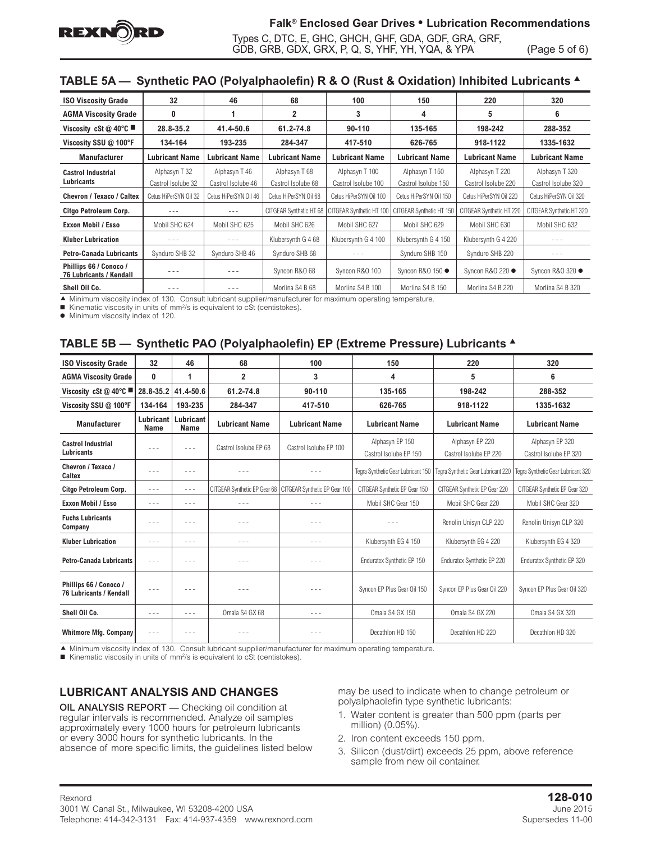

# **Falk® Enclosed Gear Drives • Lubrication Recommendations**

Types C, DTC, E, GHC, GHCH, GHF, GDA, GDF, GRA, GRF, GDB, GRB, GDX, GRX, P, Q, S, YHF, YH, YQA, & YPA (Page 5 of 6)

# **TABLE 5A — Synthetic PAO (Polyalphaolefin) R & O (Rust & Oxidation) Inhibited Lubricants** <sup>s</sup>

| <b>ISO Viscosity Grade</b>                        | 32                    | 46                    | 68                      | 100                      | 150                      | 220                      | 320                      |
|---------------------------------------------------|-----------------------|-----------------------|-------------------------|--------------------------|--------------------------|--------------------------|--------------------------|
| <b>AGMA Viscosity Grade</b>                       | 0                     |                       | 2                       | 3                        | 4                        | 5                        | 6                        |
| Viscosity cSt @ 40°C                              | 28.8-35.2             | 41.4-50.6             | 61.2-74.8               | 90-110                   | 135-165                  | 198-242                  | 288-352                  |
| Viscosity SSU @ 100°F                             | 134-164               | 193-235               | 284-347                 | 417-510                  | 626-765                  | 918-1122                 | 1335-1632                |
| <b>Manufacturer</b>                               | <b>Lubricant Name</b> | <b>Lubricant Name</b> | <b>Lubricant Name</b>   | <b>Lubricant Name</b>    | Lubricant Name           | <b>Lubricant Name</b>    | <b>Lubricant Name</b>    |
| <b>Castrol Industrial</b>                         | Alphasyn T 32         | Alphasyn T 46         | Alphasyn T 68           | Alphasyn T 100           | Alphasyn T 150           | Alphasyn T 220           | Alphasyn T 320           |
| <b>Lubricants</b>                                 | Castrol Isolube 32    | Castrol Isolube 46    | Castrol Isolube 68      | Castrol Isolube 100      | Castrol Isolube 150      | Castrol Isolube 220      | Castrol Isolube 320      |
| <b>Chevron / Texaco / Caltex</b>                  | Cetus HiPerSYN Oil 32 | Cetus HiPerSYN Oil 46 | Cetus HiPerSYN Oil 68   | Cetus HiPerSYN Oil 100   | Cetus HiPerSYN Oil 150   | Cetus HiPerSYN Oil 220   | Cetus HiPerSYN Oil 320   |
| Citgo Petroleum Corp.                             |                       | $- - -$               | CITGEAR Synthetic HT 68 | CITGEAR Synthetic HT 100 | CITGEAR Synthetic HT 150 | CITGEAR Synthetic HT 220 | CITGEAR Synthetic HT 320 |
| Exxon Mobil / Esso                                | Mobil SHC 624         | Mobil SHC 625         | Mobil SHC 626           | Mobil SHC 627            | Mobil SHC 629            | Mobil SHC 630            | Mobil SHC 632            |
| <b>Kluber Lubrication</b>                         |                       | - - -                 | Klubersynth G 4 68      | Klubersynth G 4 100      | Klubersynth G 4 150      | Klubersynth G 4 220      |                          |
| <b>Petro-Canada Lubricants</b>                    | Synduro SHB 32        | Synduro SHB 46        | Synduro SHB 68          |                          | Synduro SHB 150          | Synduro SHB 220          | - - -                    |
| Phillips 66 / Conoco /<br>76 Lubricants / Kendall |                       | - - -                 | Syncon R&O 68           | Syncon R&O 100           | Syncon R&O 150 ●         | Syncon R&O 220 ●         | Syncon R&O 320 ●         |
| Shell Oil Co.                                     | $- - -$               | $- - -$               | Morlina S4 B 68         | Morlina S4 B 100         | Morlina S4 B 150         | Morlina S4 B 220         | Morlina S4 B 320         |

c Minimum viscosity index of 130. Consult lubricant supplier/manufacturer for maximum operating temperature.

 $\blacksquare$  Kinematic viscosity in units of mm<sup>2</sup>/s is equivalent to cSt (centistokes).

 $\bullet$  Minimum viscosity index of 120.

### **TABLE 5B — Synthetic PAO (Polyalphaolefin) EP (Extreme Pressure) Lubricants** <sup>s</sup>

| <b>ISO Viscosity Grade</b>                               | 32                                                                                                                                                                                                                                                                                                                                                                                           | 46                       | 68                    | 100                                                          | 150                                       | 220                                       | 320                                       |
|----------------------------------------------------------|----------------------------------------------------------------------------------------------------------------------------------------------------------------------------------------------------------------------------------------------------------------------------------------------------------------------------------------------------------------------------------------------|--------------------------|-----------------------|--------------------------------------------------------------|-------------------------------------------|-------------------------------------------|-------------------------------------------|
| <b>AGMA Viscosity Grade</b>                              | 0                                                                                                                                                                                                                                                                                                                                                                                            | 1                        | $\overline{2}$        | 3                                                            | 4                                         | 5                                         | 6                                         |
| Viscosity cSt @ 40°C                                     | 28.8-35.2                                                                                                                                                                                                                                                                                                                                                                                    | 41.4-50.6                | 61.2-74.8             | 90-110                                                       | 135-165                                   | 198-242                                   | 288-352                                   |
| Viscosity SSU @ 100°F                                    | 134-164                                                                                                                                                                                                                                                                                                                                                                                      | 193-235                  | 284-347               | 417-510                                                      | 626-765                                   | 918-1122                                  | 1335-1632                                 |
| <b>Manufacturer</b>                                      | Lubricant  <br><b>Name</b>                                                                                                                                                                                                                                                                                                                                                                   | Lubricant<br><b>Name</b> | <b>Lubricant Name</b> | <b>Lubricant Name</b>                                        | <b>Lubricant Name</b>                     | <b>Lubricant Name</b>                     | <b>Lubricant Name</b>                     |
| <b>Castrol Industrial</b><br>Lubricants                  | $\frac{1}{2} \frac{1}{2} \frac{1}{2} \frac{1}{2} \frac{1}{2} \frac{1}{2} \frac{1}{2} \frac{1}{2} \frac{1}{2} \frac{1}{2} \frac{1}{2} \frac{1}{2} \frac{1}{2} \frac{1}{2} \frac{1}{2} \frac{1}{2} \frac{1}{2} \frac{1}{2} \frac{1}{2} \frac{1}{2} \frac{1}{2} \frac{1}{2} \frac{1}{2} \frac{1}{2} \frac{1}{2} \frac{1}{2} \frac{1}{2} \frac{1}{2} \frac{1}{2} \frac{1}{2} \frac{1}{2} \frac{$ | $- - -$                  | Castrol Isolube EP 68 | Castrol Isolube EP 100                                       | Alphasyn EP 150<br>Castrol Isolube EP 150 | Alphasyn EP 220<br>Castrol Isolube EP 220 | Alphasyn EP 320<br>Castrol Isolube EP 320 |
| Chevron / Texaco /<br>Caltex                             | $- - -$                                                                                                                                                                                                                                                                                                                                                                                      | $- - -$                  |                       |                                                              | Tegra Synthetic Gear Lubricant 150        | Tegra Synthetic Gear Lubricant 220        | Tegra Synthetic Gear Lubricant 320        |
| Citgo Petroleum Corp.                                    | $\frac{1}{2} \frac{1}{2} \frac{1}{2} \frac{1}{2} \frac{1}{2} \frac{1}{2} \frac{1}{2} \frac{1}{2} \frac{1}{2} \frac{1}{2} \frac{1}{2} \frac{1}{2} \frac{1}{2} \frac{1}{2} \frac{1}{2} \frac{1}{2} \frac{1}{2} \frac{1}{2} \frac{1}{2} \frac{1}{2} \frac{1}{2} \frac{1}{2} \frac{1}{2} \frac{1}{2} \frac{1}{2} \frac{1}{2} \frac{1}{2} \frac{1}{2} \frac{1}{2} \frac{1}{2} \frac{1}{2} \frac{$ | $- - -$                  |                       | CITGEAR Synthetic EP Gear 68   CITGEAR Synthetic EP Gear 100 | CITGEAR Synthetic EP Gear 150             | CITGEAR Synthetic EP Gear 220             | CITGEAR Synthetic EP Gear 320             |
| Exxon Mobil / Esso                                       | $\frac{1}{2} \frac{1}{2} \frac{1}{2} \frac{1}{2} \frac{1}{2} \frac{1}{2} \frac{1}{2} \frac{1}{2} \frac{1}{2} \frac{1}{2} \frac{1}{2} \frac{1}{2} \frac{1}{2} \frac{1}{2} \frac{1}{2} \frac{1}{2} \frac{1}{2} \frac{1}{2} \frac{1}{2} \frac{1}{2} \frac{1}{2} \frac{1}{2} \frac{1}{2} \frac{1}{2} \frac{1}{2} \frac{1}{2} \frac{1}{2} \frac{1}{2} \frac{1}{2} \frac{1}{2} \frac{1}{2} \frac{$ | - - -                    | - - -                 | $- - -$                                                      | Mobil SHC Gear 150                        | Mobil SHC Gear 220                        | Mobil SHC Gear 320                        |
| <b>Fuchs Lubricants</b><br>Company                       | - - -                                                                                                                                                                                                                                                                                                                                                                                        | - - -                    | .                     |                                                              |                                           | Renolin Unisyn CLP 220                    | Renolin Unisyn CLP 320                    |
| <b>Kluber Lubrication</b>                                | $- - -$                                                                                                                                                                                                                                                                                                                                                                                      | $- - -$                  | - - -                 |                                                              | Klubersynth EG 4 150                      | Klubersynth EG 4 220                      | Klubersynth EG 4 320                      |
| <b>Petro-Canada Lubricants</b>                           | $- - -$                                                                                                                                                                                                                                                                                                                                                                                      | - - -                    | .                     | $- - -$                                                      | Enduratex Synthetic EP 150                | Enduratex Synthetic EP 220                | Enduratex Synthetic EP 320                |
| Phillips 66 / Conoco /<br><b>76 Lubricants / Kendall</b> | $\frac{1}{2} \frac{1}{2} \frac{1}{2} \frac{1}{2} \frac{1}{2} \frac{1}{2} \frac{1}{2} \frac{1}{2} \frac{1}{2} \frac{1}{2} \frac{1}{2} \frac{1}{2} \frac{1}{2} \frac{1}{2} \frac{1}{2} \frac{1}{2} \frac{1}{2} \frac{1}{2} \frac{1}{2} \frac{1}{2} \frac{1}{2} \frac{1}{2} \frac{1}{2} \frac{1}{2} \frac{1}{2} \frac{1}{2} \frac{1}{2} \frac{1}{2} \frac{1}{2} \frac{1}{2} \frac{1}{2} \frac{$ | $- - -$                  | - - -                 | $- - -$                                                      | Syncon EP Plus Gear Oil 150               | Syncon EP Plus Gear Oil 220               | Syncon EP Plus Gear Oil 320               |
| Shell Oil Co.                                            | $\frac{1}{2} \frac{1}{2} \frac{1}{2} \frac{1}{2} \frac{1}{2} \frac{1}{2} \frac{1}{2} \frac{1}{2} \frac{1}{2} \frac{1}{2} \frac{1}{2} \frac{1}{2} \frac{1}{2} \frac{1}{2} \frac{1}{2} \frac{1}{2} \frac{1}{2} \frac{1}{2} \frac{1}{2} \frac{1}{2} \frac{1}{2} \frac{1}{2} \frac{1}{2} \frac{1}{2} \frac{1}{2} \frac{1}{2} \frac{1}{2} \frac{1}{2} \frac{1}{2} \frac{1}{2} \frac{1}{2} \frac{$ | $- - -$                  | Omala S4 GX 68        | $- - -$                                                      | Omala S4 GX 150                           | Omala S4 GX 220                           | Omala S4 GX 320                           |
| <b>Whitmore Mfg. Company</b>                             | $\frac{1}{2} \frac{1}{2} \frac{1}{2} \frac{1}{2} \frac{1}{2} \frac{1}{2} \frac{1}{2} \frac{1}{2} \frac{1}{2} \frac{1}{2} \frac{1}{2} \frac{1}{2} \frac{1}{2} \frac{1}{2} \frac{1}{2} \frac{1}{2} \frac{1}{2} \frac{1}{2} \frac{1}{2} \frac{1}{2} \frac{1}{2} \frac{1}{2} \frac{1}{2} \frac{1}{2} \frac{1}{2} \frac{1}{2} \frac{1}{2} \frac{1}{2} \frac{1}{2} \frac{1}{2} \frac{1}{2} \frac{$ | $- - -$                  |                       |                                                              | Decathlon HD 150                          | Decathlon HD 220                          | Decathlon HD 320                          |

c Minimum viscosity index of 130. Consult lubricant supplier/manufacturer for maximum operating temperature.

■ Kinematic viscosity in units of mm<sup>2</sup>/s is equivalent to cSt (centistokes).

### **LUBRICANT ANALYSIS AND CHANGES**

OIL ANALYSIS REPORT — Checking oil condition at regular intervals is recommended. Analyze oil samples approximately every 1000 hours for petroleum lubricants or every 3000 hours for synthetic lubricants. In the absence of more specific limits, the guidelines listed below may be used to indicate when to change petroleum or polyalphaolefin type synthetic lubricants:

- 1. Water content is greater than 500 ppm (parts per million) (0.05%).
- 2. Iron content exceeds 150 ppm.
- 3. Silicon (dust/dirt) exceeds 25 ppm, above reference sample from new oil container.